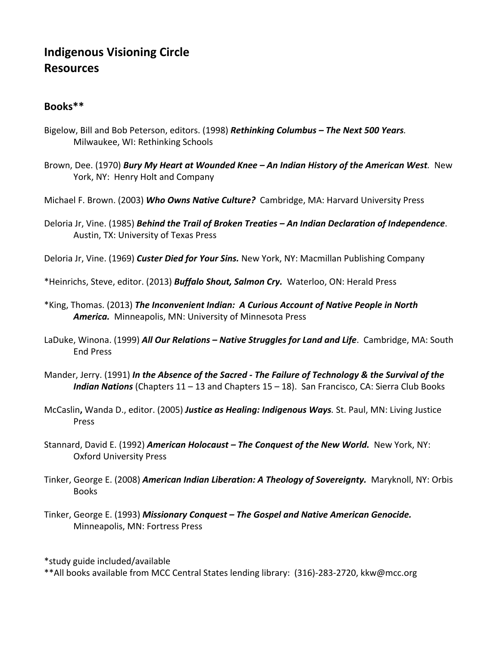# Indigenous Visioning Circle **Resources**

# Books\*\*

- Bigelow, Bill and Bob Peterson, editors. (1998) *Rethinking Columbus – The Next 500 Years.* Milwaukee, WI: Rethinking Schools
- Brown, Dee. (1970) *Bury My Heart at Wounded Knee – An Indian History of the American West.* New York, NY: Henry Holt and Company
- Michael F. Brown. (2003) *Who Owns Native Culture?* Cambridge, MA: Harvard University Press
- Deloria Jr, Vine. (1985) *Behind the Trail of Broken Treaties – An Indian Declaration of Independence*. Austin, TX: University of Texas Press
- Deloria Jr, Vine. (1969) *Custer Died for Your Sins.*New York, NY: Macmillan Publishing Company
- \*Heinrichs, Steve, editor. (2013) *Buffalo Shout, Salmon Cry.*Waterloo, ON: Herald Press
- \*King, Thomas. (2013) *The Inconvenient Indian: A Curious Account of Native People in North* America. Minneapolis, MN: University of Minnesota Press
- LaDuke, Winona. (1999) *All Our Relations – Native Struggles for Land and Life*. Cambridge, MA: South End Press
- Mander, Jerry. (1991) *In the Absence of the Sacred ‐ The Failure of Technology & the Survival of the Indian Nations* (Chapters 11 – 13 and Chapters 15 – 18). San Francisco, CA: Sierra Club Books
- McCaslin, Wanda D., editor. (2005) *Justice as Healing: Indigenous Ways.* St. Paul, MN: Living Justice Press
- Stannard, David E. (1992) *American Holocaust – The Conquest of the New World.* New York, NY: Oxford University Press
- Tinker, George E. (2008) *American Indian Liberation: A Theology of Sovereignty.*Maryknoll, NY: Orbis Books
- Tinker, George E. (1993) *Missionary Conquest – The Gospel and Native American Genocide.* Minneapolis, MN: Fortress Press

\*study guide included/available

\*\*All books available from MCC Central States lending library: (316)‐283‐2720, kkw@mcc.org